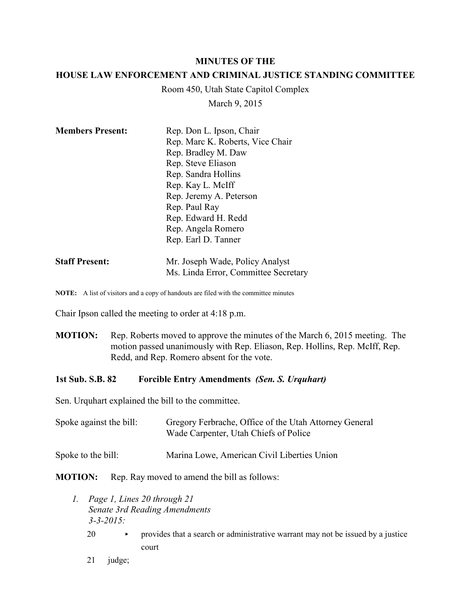#### **MINUTES OF THE**

### **HOUSE LAW ENFORCEMENT AND CRIMINAL JUSTICE STANDING COMMITTEE**

Room 450, Utah State Capitol Complex

March 9, 2015

| <b>Members Present:</b> | Rep. Don L. Ipson, Chair             |
|-------------------------|--------------------------------------|
|                         | Rep. Marc K. Roberts, Vice Chair     |
|                         | Rep. Bradley M. Daw                  |
|                         | Rep. Steve Eliason                   |
|                         | Rep. Sandra Hollins                  |
|                         | Rep. Kay L. McIff                    |
|                         | Rep. Jeremy A. Peterson              |
|                         | Rep. Paul Ray                        |
|                         | Rep. Edward H. Redd                  |
|                         | Rep. Angela Romero                   |
|                         | Rep. Earl D. Tanner                  |
| <b>Staff Present:</b>   | Mr. Joseph Wade, Policy Analyst      |
|                         | Ms. Linda Error, Committee Secretary |

**NOTE:** A list of visitors and a copy of handouts are filed with the committee minutes

Chair Ipson called the meeting to order at 4:18 p.m.

**MOTION:** Rep. Roberts moved to approve the minutes of the March 6, 2015 meeting. The motion passed unanimously with Rep. Eliason, Rep. Hollins, Rep. McIff, Rep. Redd, and Rep. Romero absent for the vote.

#### **1st Sub. S.B. 82 Forcible Entry Amendments** *(Sen. S. Urquhart)*

Sen. Urquhart explained the bill to the committee.

| Spoke against the bill: | Gregory Ferbrache, Office of the Utah Attorney General<br>Wade Carpenter, Utah Chiefs of Police |
|-------------------------|-------------------------------------------------------------------------------------------------|
| Spoke to the bill:      | Marina Lowe, American Civil Liberties Union                                                     |

**MOTION:** Rep. Ray moved to amend the bill as follows:

- *1. Page 1, Lines 20 through 21 Senate 3rd Reading Amendments 3-3-2015:*
	- 20  $\longrightarrow$  provides that a search or administrative warrant may not be issued by a justice court
	- 21 judge;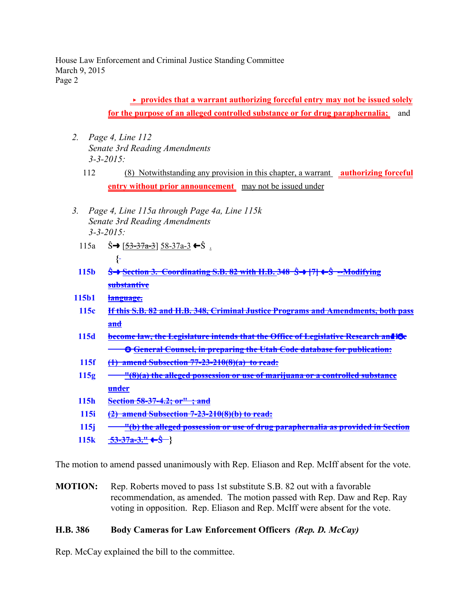House Law Enforcement and Criminal Justice Standing Committee March 9, 2015 Page 2

# **F** provides that a warrant authorizing forceful entry may not be issued solely **for the purpose of an alleged controlled substance or for drug paraphernalia;** and

- *2. Page 4, Line 112 Senate 3rd Reading Amendments 3-3-2015:*
	- 112 (8) Notwithstanding any provision in this chapter, a warrant **authorizing forceful entry without prior announcement** may not be issued under
- *3. Page 4, Line 115a through Page 4a, Line 115k Senate 3rd Reading Amendments 3-3-2015:*
	- 115a  $\hat{S} \rightarrow [53-37a-3] 58-37a-3 \leftarrow \hat{S}$ . **{**
	- **115b** Straward Section 3. Coordinating S.B. 82 with H.B. 348 S→ 171 ←S --Modifying **substantive**
- **115b1 language.**
	- **115c If this S.B. 82 and H.B. 348, Criminal Justice Programs and Amendments, both pass and**
	- **115d become law, the Legislature intends that the Office of Legislative Research and115e** k k **General Counsel, in preparing the Utah Code database for publication:**
- **115f (1) amend Subsection 77-23-210(8)(a) to read:**
- **115g** <u>"(8)(a) the alleged possession or use of marijuana or a controlled substance</u> **under**
- **115h Section 58-37-4.2; or" ; and**
- **115i (2) amend Subsection 7-23-210(8)(b) to read:**
- **115j "(b) the alleged possession or use of drug paraphernalia as provided in Section**
- **115k 53-37a-3."** »Ö **}**

The motion to amend passed unanimously with Rep. Eliason and Rep. McIff absent for the vote.

**MOTION:** Rep. Roberts moved to pass 1st substitute S.B. 82 out with a favorable recommendation, as amended. The motion passed with Rep. Daw and Rep. Ray voting in opposition. Rep. Eliason and Rep. McIff were absent for the vote.

# **H.B. 386 Body Cameras for Law Enforcement Officers** *(Rep. D. McCay)*

Rep. McCay explained the bill to the committee.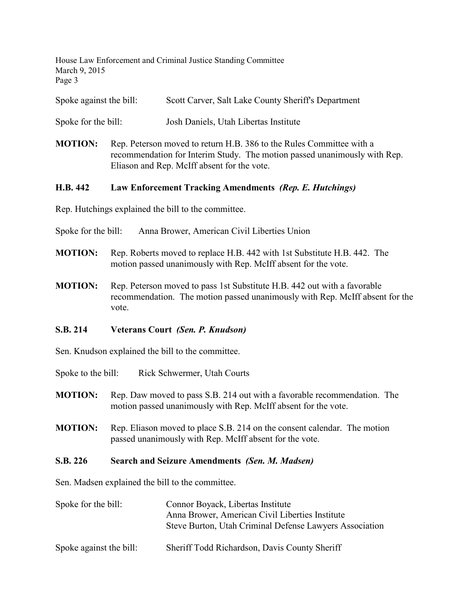House Law Enforcement and Criminal Justice Standing Committee March 9, 2015 Page 3

Spoke against the bill: Scott Carver, Salt Lake County Sheriff's Department

Spoke for the bill: Josh Daniels, Utah Libertas Institute

**MOTION:** Rep. Peterson moved to return H.B. 386 to the Rules Committee with a recommendation for Interim Study. The motion passed unanimously with Rep. Eliason and Rep. McIff absent for the vote.

### **H.B. 442 Law Enforcement Tracking Amendments** *(Rep. E. Hutchings)*

Rep. Hutchings explained the bill to the committee.

Spoke for the bill: Anna Brower, American Civil Liberties Union

- **MOTION:** Rep. Roberts moved to replace H.B. 442 with 1st Substitute H.B. 442. The motion passed unanimously with Rep. McIff absent for the vote.
- **MOTION:** Rep. Peterson moved to pass 1st Substitute H.B. 442 out with a favorable recommendation. The motion passed unanimously with Rep. McIff absent for the vote.

### **S.B. 214 Veterans Court** *(Sen. P. Knudson)*

Sen. Knudson explained the bill to the committee.

Spoke to the bill: Rick Schwermer, Utah Courts

- **MOTION:** Rep. Daw moved to pass S.B. 214 out with a favorable recommendation. The motion passed unanimously with Rep. McIff absent for the vote.
- **MOTION:** Rep. Eliason moved to place S.B. 214 on the consent calendar. The motion passed unanimously with Rep. McIff absent for the vote.

### **S.B. 226 Search and Seizure Amendments** *(Sen. M. Madsen)*

Sen. Madsen explained the bill to the committee.

| Spoke for the bill:     | Connor Boyack, Libertas Institute<br>Anna Brower, American Civil Liberties Institute<br>Steve Burton, Utah Criminal Defense Lawyers Association |
|-------------------------|-------------------------------------------------------------------------------------------------------------------------------------------------|
| Spoke against the bill: | Sheriff Todd Richardson, Davis County Sheriff                                                                                                   |